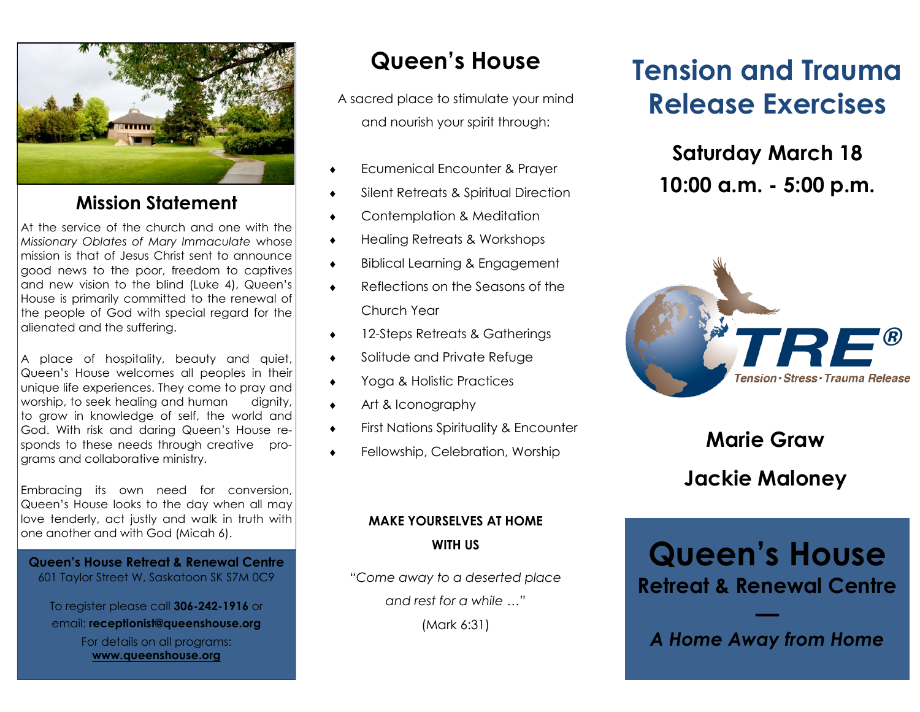

### **Mission Statement**

At the service of the church and one with the *Missionary Oblates of Mary Immaculate* whose mission is that of Jesus Christ sent to announce good news to the poor, freedom to captives and new vision to the blind (Luke 4), Queen's House is primarily committed to the renewal of the people of God with special regard for the alienated and the suffering.

A place of hospitality, beauty and quiet, Queen's House welcomes all peoples in their unique life experiences. They come to pray and worship, to seek healing and human dignity, to grow in knowledge of self, the world and God. With risk and daring Queen's House responds to these needs through creative programs and collaborative ministry.

Embracing its own need for conversion, Queen's House looks to the day when all may love tenderly, act justly and walk in truth with one another and with God (Micah 6).

**Queen's House Retreat & Renewal Centre** 601 Taylor Street W, Saskatoon SK S7M 0C9

To register please call **306-242-1916** or email: **receptionist@queenshouse.org**

> For details on all programs: **www.queenshouse.org**

## **Queen's House**

A sacred place to stimulate your mind and nourish your spirit through:

- Ecumenical Encounter & Prayer
- ◆ Silent Retreats & Spiritual Direction
- Contemplation & Meditation
- ◆ Healing Retreats & Workshops
- Biblical Learning & Engagement
- ◆ Reflections on the Seasons of the Church Year
- ◆ 12-Steps Retreats & Gatherings
- Solitude and Private Refuge
- ◆ Yoga & Holistic Practices
- Art & Iconography
- **First Nations Spirituality & Encounter**
- Fellowship, Celebration, Worship

# **Tension and Trauma Release Exercises**

**Saturday March 18 10:00 a.m. - 5:00 p.m.**



**Marie Graw Jackie Maloney**

#### **MAKE YOURSELVES AT HOME WITH US**

*"Come away to a deserted place and rest for a while …"*

(Mark 6:31)

# **Queen's House Retreat & Renewal Centre**

*A Home Away from Home*

**—**